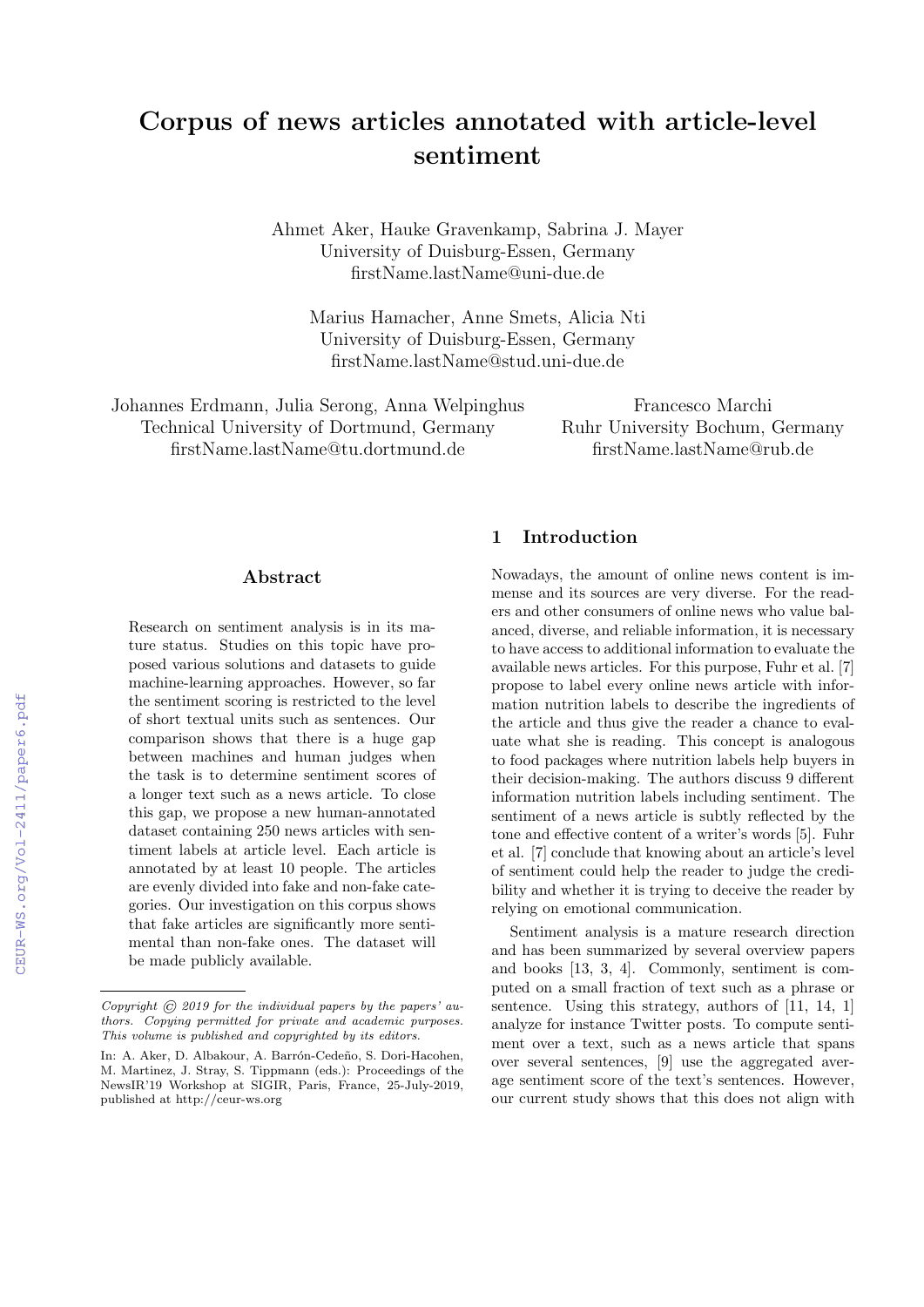# Corpus of news articles annotated with article-level sentiment

Ahmet Aker, Hauke Gravenkamp, Sabrina J. Mayer University of Duisburg-Essen, Germany firstName.lastName@uni-due.de

Marius Hamacher, Anne Smets, Alicia Nti University of Duisburg-Essen, Germany firstName.lastName@stud.uni-due.de

Johannes Erdmann, Julia Serong, Anna Welpinghus Technical University of Dortmund, Germany firstName.lastName@tu.dortmund.de

Francesco Marchi Ruhr University Bochum, Germany firstName.lastName@rub.de

#### Abstract

Research on sentiment analysis is in its mature status. Studies on this topic have proposed various solutions and datasets to guide machine-learning approaches. However, so far the sentiment scoring is restricted to the level of short textual units such as sentences. Our comparison shows that there is a huge gap between machines and human judges when the task is to determine sentiment scores of a longer text such as a news article. To close this gap, we propose a new human-annotated dataset containing 250 news articles with sentiment labels at article level. Each article is annotated by at least 10 people. The articles are evenly divided into fake and non-fake categories. Our investigation on this corpus shows that fake articles are significantly more sentimental than non-fake ones. The dataset will be made publicly available.

## 1 Introduction

Nowadays, the amount of online news content is immense and its sources are very diverse. For the readers and other consumers of online news who value balanced, diverse, and reliable information, it is necessary to have access to additional information to evaluate the available news articles. For this purpose, Fuhr et al. [7] propose to label every online news article with information nutrition labels to describe the ingredients of the article and thus give the reader a chance to evaluate what she is reading. This concept is analogous to food packages where nutrition labels help buyers in their decision-making. The authors discuss 9 different information nutrition labels including sentiment. The sentiment of a news article is subtly reflected by the tone and effective content of a writer's words [5]. Fuhr et al. [7] conclude that knowing about an article's level of sentiment could help the reader to judge the credibility and whether it is trying to deceive the reader by relying on emotional communication.

Sentiment analysis is a mature research direction and has been summarized by several overview papers and books [13, 3, 4]. Commonly, sentiment is computed on a small fraction of text such as a phrase or sentence. Using this strategy, authors of [11, 14, 1] analyze for instance Twitter posts. To compute sentiment over a text, such as a news article that spans over several sentences, [9] use the aggregated average sentiment score of the text's sentences. However, our current study shows that this does not align with

Copyright  $\odot$  2019 for the individual papers by the papers' authors. Copying permitted for private and academic purposes. This volume is published and copyrighted by its editors.

In: A. Aker, D. Albakour, A. Barrón-Cedeño, S. Dori-Hacohen, M. Martinez, J. Stray, S. Tippmann (eds.): Proceedings of the NewsIR'19 Workshop at SIGIR, Paris, France, 25-July-2019, published at http://ceur-ws.org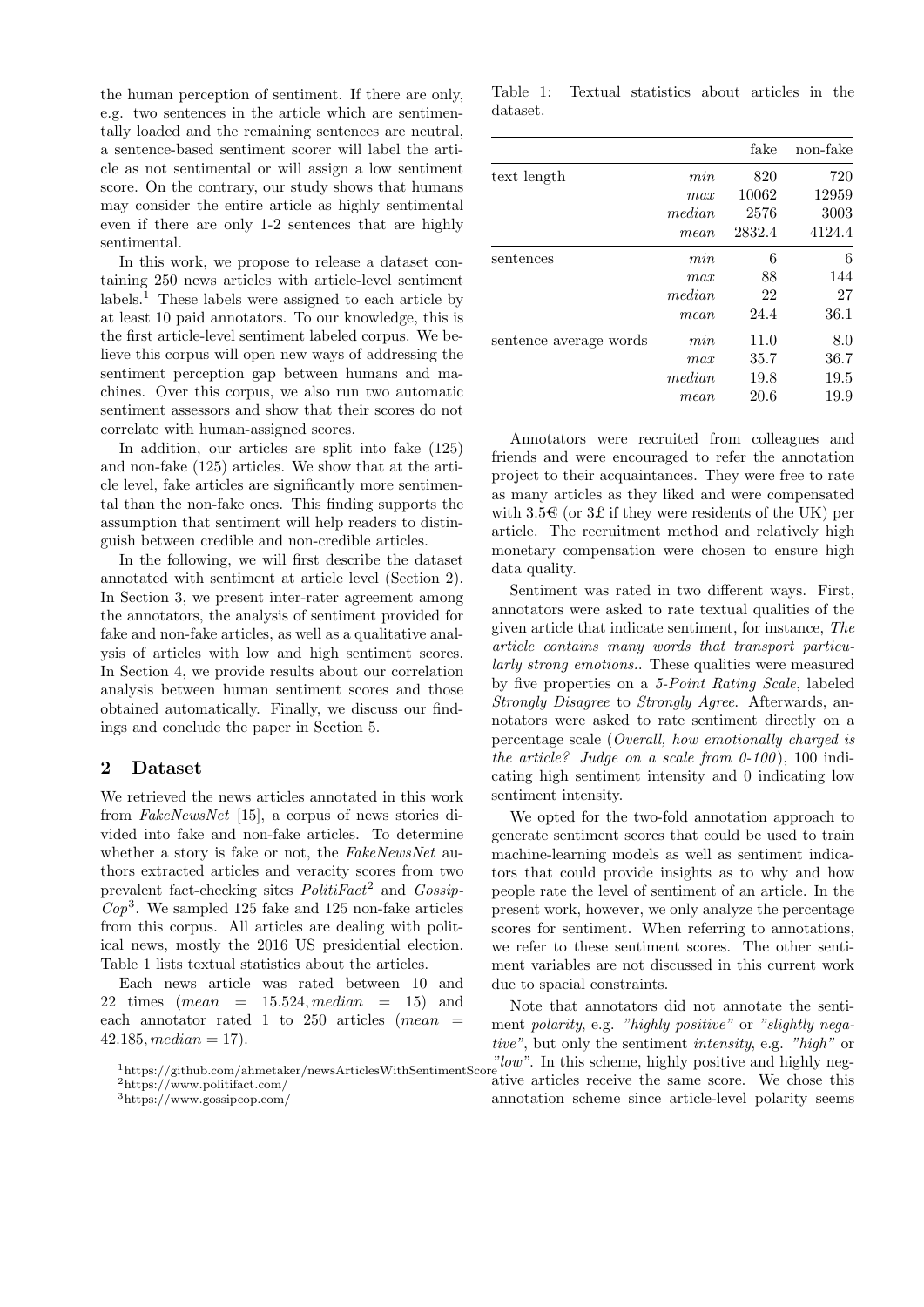the human perception of sentiment. If there are only, e.g. two sentences in the article which are sentimentally loaded and the remaining sentences are neutral, a sentence-based sentiment scorer will label the article as not sentimental or will assign a low sentiment score. On the contrary, our study shows that humans may consider the entire article as highly sentimental even if there are only 1-2 sentences that are highly sentimental.

In this work, we propose to release a dataset containing 250 news articles with article-level sentiment  $\lambda$  labels.<sup>1</sup> These labels were assigned to each article by at least 10 paid annotators. To our knowledge, this is the first article-level sentiment labeled corpus. We believe this corpus will open new ways of addressing the sentiment perception gap between humans and machines. Over this corpus, we also run two automatic sentiment assessors and show that their scores do not correlate with human-assigned scores.

In addition, our articles are split into fake (125) and non-fake (125) articles. We show that at the article level, fake articles are significantly more sentimental than the non-fake ones. This finding supports the assumption that sentiment will help readers to distinguish between credible and non-credible articles.

In the following, we will first describe the dataset annotated with sentiment at article level (Section 2). In Section 3, we present inter-rater agreement among the annotators, the analysis of sentiment provided for fake and non-fake articles, as well as a qualitative analysis of articles with low and high sentiment scores. In Section 4, we provide results about our correlation analysis between human sentiment scores and those obtained automatically. Finally, we discuss our findings and conclude the paper in Section 5.

## 2 Dataset

We retrieved the news articles annotated in this work from FakeNewsNet [15], a corpus of news stories divided into fake and non-fake articles. To determine whether a story is fake or not, the FakeNewsNet authors extracted articles and veracity scores from two prevalent fact-checking sites  $PolitFact<sup>2</sup>$  and  $Gossip$ - $Cop<sup>3</sup>$ . We sampled 125 fake and 125 non-fake articles from this corpus. All articles are dealing with political news, mostly the 2016 US presidential election. Table 1 lists textual statistics about the articles.

Each news article was rated between 10 and 22 times  $(mean = 15.524, median = 15)$  and each annotator rated 1 to 250 articles  $(mean =$  $42.185, median = 17.$ 

Table 1: Textual statistics about articles in the dataset.

|                        |        | fake   | non-fake |
|------------------------|--------|--------|----------|
| text length            | min    | 820    | 720      |
|                        | max    | 10062  | 12959    |
|                        | median | 2576   | 3003     |
|                        | mean   | 2832.4 | 4124.4   |
| sentences              | min    | 6      | 6        |
|                        | max    | 88     | 144      |
|                        | median | 22     | 27       |
|                        | mean   | 24.4   | 36.1     |
| sentence average words | min    | 11.0   | 8.0      |
|                        | max    | 35.7   | 36.7     |
|                        | median | 19.8   | 19.5     |
|                        | mean   | 20.6   | 19.9     |

Annotators were recruited from colleagues and friends and were encouraged to refer the annotation project to their acquaintances. They were free to rate as many articles as they liked and were compensated with  $3.5\mathscr{\in}$  (or  $3\mathscr{L}$  if they were residents of the UK) per article. The recruitment method and relatively high monetary compensation were chosen to ensure high data quality.

Sentiment was rated in two different ways. First, annotators were asked to rate textual qualities of the given article that indicate sentiment, for instance, The article contains many words that transport particularly strong emotions.. These qualities were measured by five properties on a 5-Point Rating Scale, labeled Strongly Disagree to Strongly Agree. Afterwards, annotators were asked to rate sentiment directly on a percentage scale (Overall, how emotionally charged is the article? Judge on a scale from  $0-100$ , 100 indicating high sentiment intensity and 0 indicating low sentiment intensity.

We opted for the two-fold annotation approach to generate sentiment scores that could be used to train machine-learning models as well as sentiment indicators that could provide insights as to why and how people rate the level of sentiment of an article. In the present work, however, we only analyze the percentage scores for sentiment. When referring to annotations, we refer to these sentiment scores. The other sentiment variables are not discussed in this current work due to spacial constraints.

 $\frac{n_{\text{lattps}}}{n_{\text{lattps}}/sqrt{\text{github.com/ahmetaker/newsArticlesWithSentimentScore}}}$  on  $\frac{n_{\text{low}}}{n_{\text{lattps}}}$ . In this scheme, highly positive and highly neg-Note that annotators did not annotate the sentiment polarity, e.g. "highly positive" or "slightly negative", but only the sentiment intensity, e.g. "high" or ative articles receive the same score. We chose this annotation scheme since article-level polarity seems

<sup>2</sup>https://www.politifact.com/

<sup>3</sup>https://www.gossipcop.com/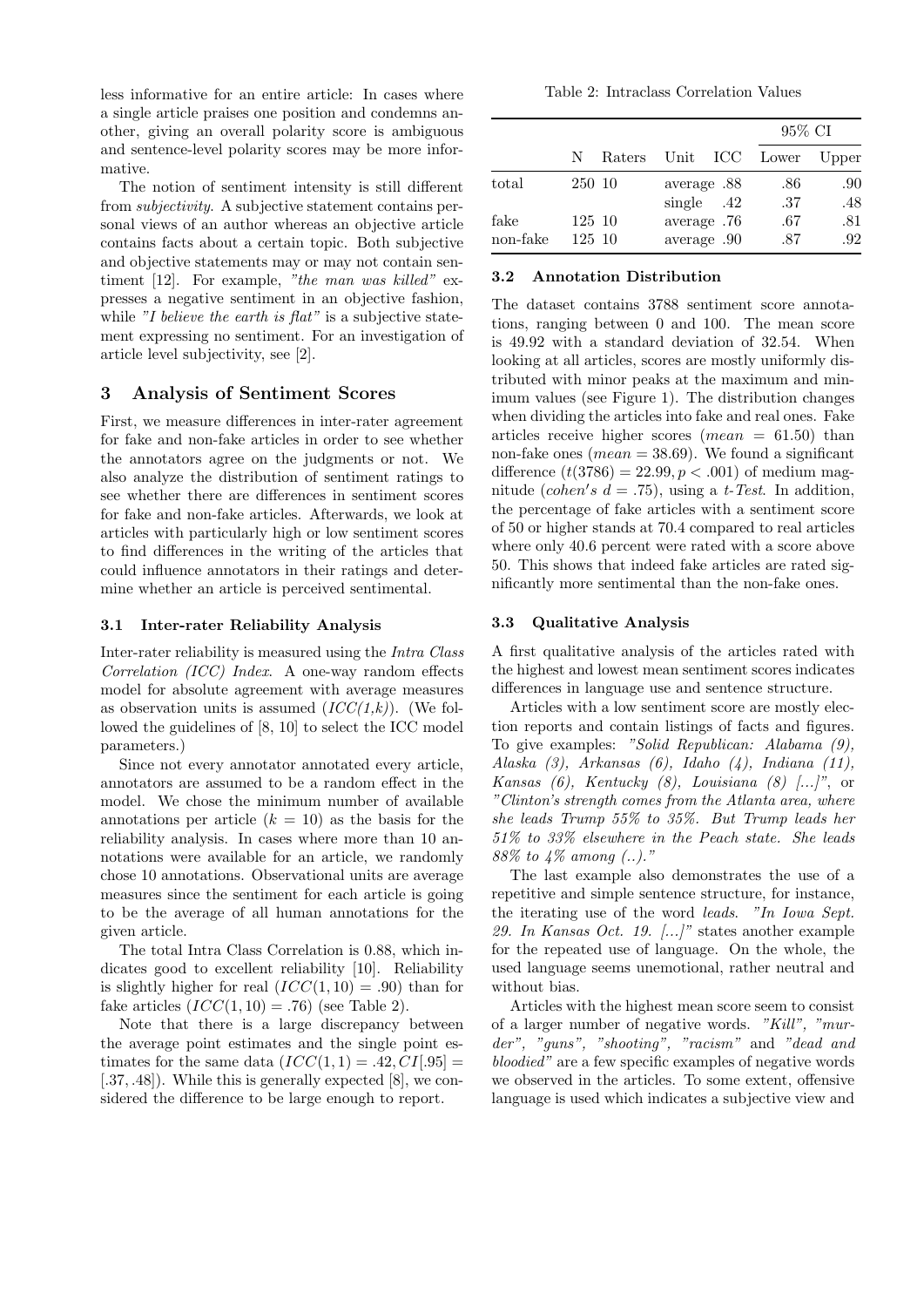less informative for an entire article: In cases where a single article praises one position and condemns another, giving an overall polarity score is ambiguous and sentence-level polarity scores may be more informative.

The notion of sentiment intensity is still different from subjectivity. A subjective statement contains personal views of an author whereas an objective article contains facts about a certain topic. Both subjective and objective statements may or may not contain sentiment [12]. For example, "the man was killed" expresses a negative sentiment in an objective fashion, while "I believe the earth is flat" is a subjective statement expressing no sentiment. For an investigation of article level subjectivity, see [2].

## 3 Analysis of Sentiment Scores

First, we measure differences in inter-rater agreement for fake and non-fake articles in order to see whether the annotators agree on the judgments or not. We also analyze the distribution of sentiment ratings to see whether there are differences in sentiment scores for fake and non-fake articles. Afterwards, we look at articles with particularly high or low sentiment scores to find differences in the writing of the articles that could influence annotators in their ratings and determine whether an article is perceived sentimental.

## 3.1 Inter-rater Reliability Analysis

Inter-rater reliability is measured using the Intra Class Correlation (ICC) Index. A one-way random effects model for absolute agreement with average measures as observation units is assumed  $(ICC(1,k))$ . (We followed the guidelines of [8, 10] to select the ICC model parameters.)

Since not every annotator annotated every article, annotators are assumed to be a random effect in the model. We chose the minimum number of available annotations per article  $(k = 10)$  as the basis for the reliability analysis. In cases where more than 10 annotations were available for an article, we randomly chose 10 annotations. Observational units are average measures since the sentiment for each article is going to be the average of all human annotations for the given article.

The total Intra Class Correlation is 0.88, which indicates good to excellent reliability [10]. Reliability is slightly higher for real  $(ICC(1, 10) = .90)$  than for fake articles  $(ICC(1, 10) = .76)$  (see Table 2).

Note that there is a large discrepancy between the average point estimates and the single point estimates for the same data  $(ICC(1, 1) = .42, CI[.95] =$ [.37, .48]). While this is generally expected [8], we considered the difference to be large enough to report.

Table 2: Intraclass Correlation Values

|                  |                  |        |                             | 95% CI         |            |
|------------------|------------------|--------|-----------------------------|----------------|------------|
|                  | N                | Raters |                             | Unit ICC Lower | Upper      |
| total            | 250 10           |        | average .88<br>single $.42$ | .86<br>.37     | .90<br>.48 |
| fake<br>non-fake | 125 10<br>125 10 |        | average .76<br>average .90  | .67<br>.87     | .81<br>.92 |

## 3.2 Annotation Distribution

The dataset contains 3788 sentiment score annotations, ranging between 0 and 100. The mean score is 49.92 with a standard deviation of 32.54. When looking at all articles, scores are mostly uniformly distributed with minor peaks at the maximum and minimum values (see Figure 1). The distribution changes when dividing the articles into fake and real ones. Fake articles receive higher scores (*mean*  $= 61.50$ ) than non-fake ones ( $mean = 38.69$ ). We found a significant difference  $(t(3786) = 22.99, p < .001)$  of medium magnitude (cohen's  $d = .75$ ), using a t-Test. In addition, the percentage of fake articles with a sentiment score of 50 or higher stands at 70.4 compared to real articles where only 40.6 percent were rated with a score above 50. This shows that indeed fake articles are rated significantly more sentimental than the non-fake ones.

#### 3.3 Qualitative Analysis

A first qualitative analysis of the articles rated with the highest and lowest mean sentiment scores indicates differences in language use and sentence structure.

Articles with a low sentiment score are mostly election reports and contain listings of facts and figures. To give examples: "Solid Republican: Alabama (9), Alaska  $(3)$ , Arkansas  $(6)$ , Idaho  $(4)$ , Indiana  $(11)$ , Kansas  $(6)$ , Kentucky  $(8)$ , Louisiana  $(8)$  [...]", or "Clinton's strength comes from the Atlanta area, where she leads Trump 55% to 35%. But Trump leads her 51% to 33% elsewhere in the Peach state. She leads 88% to 4% among (..)."

The last example also demonstrates the use of a repetitive and simple sentence structure, for instance, the iterating use of the word leads. "In Iowa Sept. 29. In Kansas Oct. 19.  $\left[\ldots\right]$ " states another example for the repeated use of language. On the whole, the used language seems unemotional, rather neutral and without bias.

Articles with the highest mean score seem to consist of a larger number of negative words. "Kill", "murder", "guns", "shooting", "racism" and "dead and bloodied" are a few specific examples of negative words we observed in the articles. To some extent, offensive language is used which indicates a subjective view and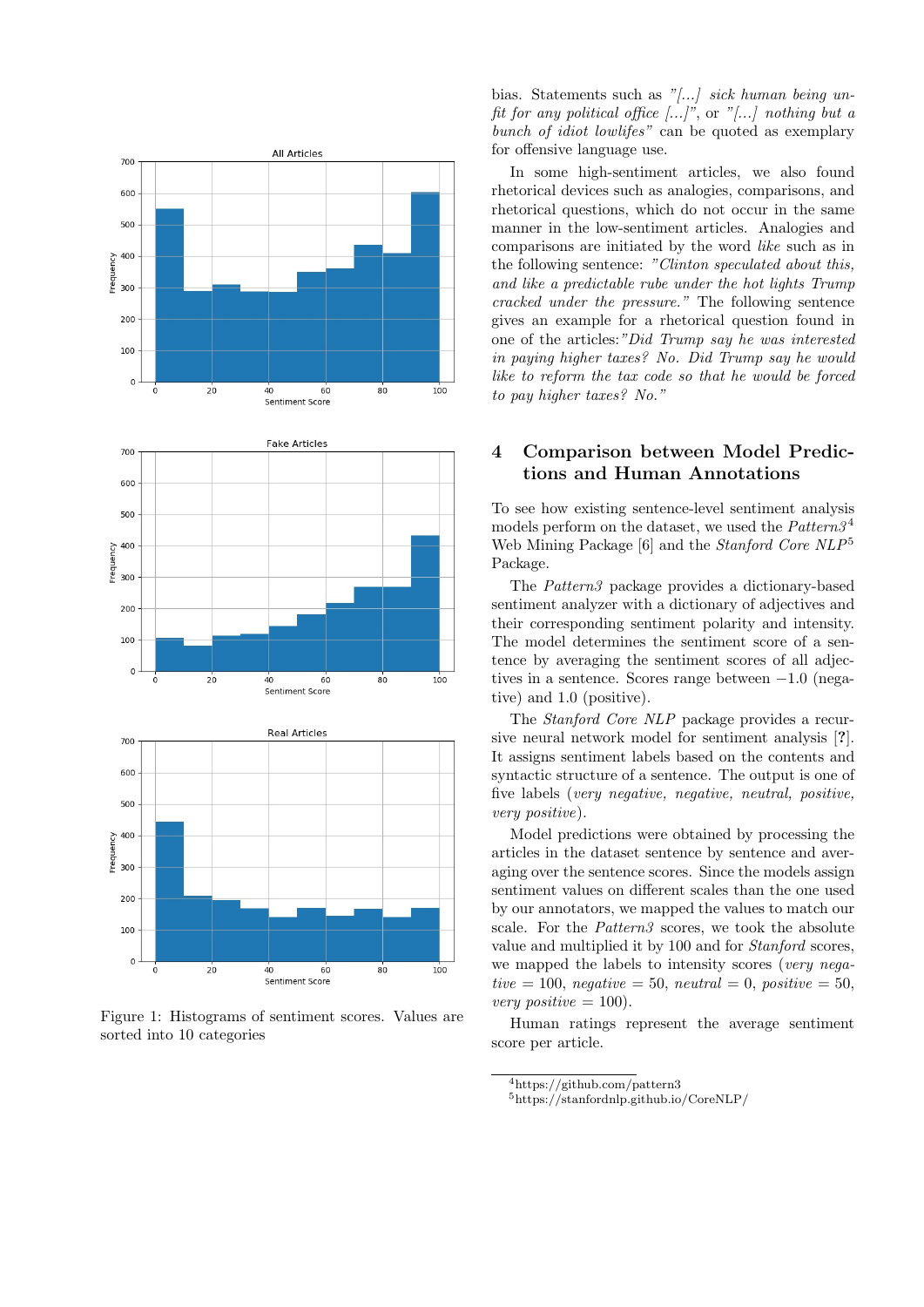

Figure 1: Histograms of sentiment scores. Values are sorted into 10 categories

bias. Statements such as "[...] sick human being unfit for any political office  $[\ldots]^n$ , or " $[\ldots]$ " nothing but a bunch of *idiot lowlifes*" can be quoted as exemplary for offensive language use.

In some high-sentiment articles, we also found rhetorical devices such as analogies, comparisons, and rhetorical questions, which do not occur in the same manner in the low-sentiment articles. Analogies and comparisons are initiated by the word like such as in the following sentence: "Clinton speculated about this, and like a predictable rube under the hot lights Trump cracked under the pressure." The following sentence gives an example for a rhetorical question found in one of the articles:"Did Trump say he was interested in paying higher taxes? No. Did Trump say he would like to reform the tax code so that he would be forced to pay higher taxes? No."

# 4 Comparison between Model Predictions and Human Annotations

To see how existing sentence-level sentiment analysis models perform on the dataset, we used the  $Pattern3<sup>4</sup>$ Web Mining Package [6] and the *Stanford Core NLP*<sup>5</sup> Package.

The Pattern3 package provides a dictionary-based sentiment analyzer with a dictionary of adjectives and their corresponding sentiment polarity and intensity. The model determines the sentiment score of a sentence by averaging the sentiment scores of all adjectives in a sentence. Scores range between −1.0 (negative) and 1.0 (positive).

The Stanford Core NLP package provides a recursive neural network model for sentiment analysis [?]. It assigns sentiment labels based on the contents and syntactic structure of a sentence. The output is one of five labels (very negative, negative, neutral, positive, very positive).

Model predictions were obtained by processing the articles in the dataset sentence by sentence and averaging over the sentence scores. Since the models assign sentiment values on different scales than the one used by our annotators, we mapped the values to match our scale. For the Pattern3 scores, we took the absolute value and multiplied it by 100 and for Stanford scores, we mapped the labels to intensity scores (very negative = 100, negative = 50, neutral = 0, positive = 50, very positive  $= 100$ .

Human ratings represent the average sentiment score per article.

<sup>4</sup>https://github.com/pattern3

<sup>5</sup>https://stanfordnlp.github.io/CoreNLP/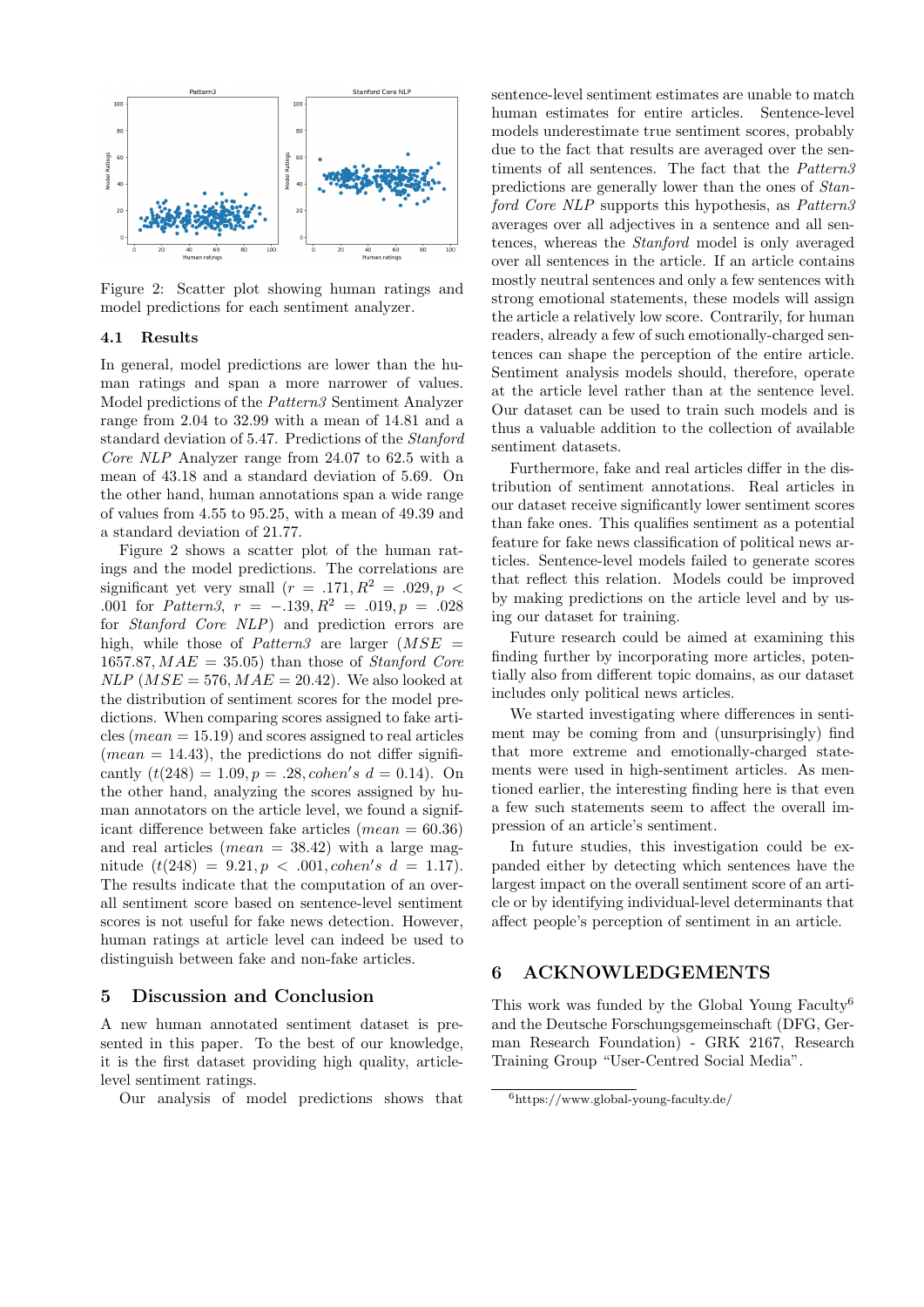

Figure 2: Scatter plot showing human ratings and model predictions for each sentiment analyzer.

#### 4.1 Results

In general, model predictions are lower than the human ratings and span a more narrower of values. Model predictions of the Pattern3 Sentiment Analyzer range from 2.04 to 32.99 with a mean of 14.81 and a standard deviation of 5.47. Predictions of the Stanford Core NLP Analyzer range from 24.07 to 62.5 with a mean of 43.18 and a standard deviation of 5.69. On the other hand, human annotations span a wide range of values from 4.55 to 95.25, with a mean of 49.39 and a standard deviation of 21.77.

Figure 2 shows a scatter plot of the human ratings and the model predictions. The correlations are significant yet very small  $(r = .171, R^2 = .029, p <$ .001 for *Pattern3*,  $r = -.139, R^2 = .019, p = .028$ for Stanford Core NLP) and prediction errors are high, while those of *Pattern3* are larger  $(MSE =$ 1657.87,  $MAE = 35.05$  than those of *Stanford Core*  $NLP$  ( $MSE = 576$ ,  $MAE = 20.42$ ). We also looked at the distribution of sentiment scores for the model predictions. When comparing scores assigned to fake articles ( $mean = 15.19$ ) and scores assigned to real articles  $(mean = 14.43)$ , the predictions do not differ significantly  $(t(248) = 1.09, p = .28, \text{cohen's } d = 0.14)$ . On the other hand, analyzing the scores assigned by human annotators on the article level, we found a significant difference between fake articles  $(mean = 60.36)$ and real articles (*mean*  $=$  38.42) with a large magnitude  $(t(248) = 9.21, p < .001, \text{cohen's } d = 1.17).$ The results indicate that the computation of an overall sentiment score based on sentence-level sentiment scores is not useful for fake news detection. However, human ratings at article level can indeed be used to distinguish between fake and non-fake articles.

#### 5 Discussion and Conclusion

A new human annotated sentiment dataset is presented in this paper. To the best of our knowledge, it is the first dataset providing high quality, articlelevel sentiment ratings.

Our analysis of model predictions shows that

sentence-level sentiment estimates are unable to match human estimates for entire articles. Sentence-level models underestimate true sentiment scores, probably due to the fact that results are averaged over the sentiments of all sentences. The fact that the Pattern3 predictions are generally lower than the ones of Stanford Core NLP supports this hypothesis, as Pattern<sub>3</sub> averages over all adjectives in a sentence and all sentences, whereas the Stanford model is only averaged over all sentences in the article. If an article contains mostly neutral sentences and only a few sentences with strong emotional statements, these models will assign the article a relatively low score. Contrarily, for human readers, already a few of such emotionally-charged sentences can shape the perception of the entire article. Sentiment analysis models should, therefore, operate at the article level rather than at the sentence level. Our dataset can be used to train such models and is thus a valuable addition to the collection of available sentiment datasets.

Furthermore, fake and real articles differ in the distribution of sentiment annotations. Real articles in our dataset receive significantly lower sentiment scores than fake ones. This qualifies sentiment as a potential feature for fake news classification of political news articles. Sentence-level models failed to generate scores that reflect this relation. Models could be improved by making predictions on the article level and by using our dataset for training.

Future research could be aimed at examining this finding further by incorporating more articles, potentially also from different topic domains, as our dataset includes only political news articles.

We started investigating where differences in sentiment may be coming from and (unsurprisingly) find that more extreme and emotionally-charged statements were used in high-sentiment articles. As mentioned earlier, the interesting finding here is that even a few such statements seem to affect the overall impression of an article's sentiment.

In future studies, this investigation could be expanded either by detecting which sentences have the largest impact on the overall sentiment score of an article or by identifying individual-level determinants that affect people's perception of sentiment in an article.

#### 6 ACKNOWLEDGEMENTS

This work was funded by the Global Young Faculty<sup>6</sup> and the Deutsche Forschungsgemeinschaft (DFG, German Research Foundation) - GRK 2167, Research Training Group "User-Centred Social Media".

 $6$ https://www.global-young-faculty.de/